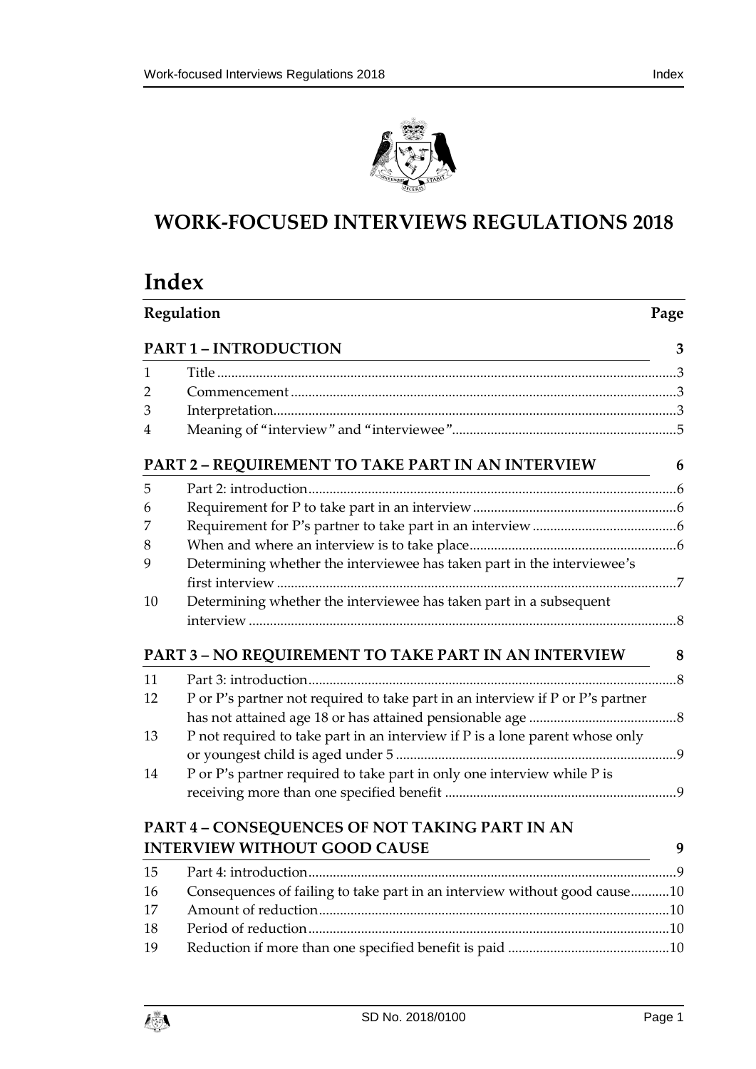

# **WORK-FOCUSED INTERVIEWS REGULATIONS 2018**

# **Index**

|                              | Regulation                                                                     |   |
|------------------------------|--------------------------------------------------------------------------------|---|
| <b>PART 1 - INTRODUCTION</b> |                                                                                | 3 |
| 1                            |                                                                                |   |
| 2                            |                                                                                |   |
| 3                            |                                                                                |   |
| 4                            |                                                                                |   |
|                              | PART 2 - REQUIREMENT TO TAKE PART IN AN INTERVIEW                              | 6 |
| 5                            |                                                                                |   |
| 6                            |                                                                                |   |
| 7                            |                                                                                |   |
| 8                            |                                                                                |   |
| 9                            | Determining whether the interviewee has taken part in the interviewee's        |   |
|                              |                                                                                |   |
| 10                           | Determining whether the interviewee has taken part in a subsequent             |   |
|                              |                                                                                |   |
|                              | PART 3 – NO REQUIREMENT TO TAKE PART IN AN INTERVIEW                           | 8 |
| 11                           |                                                                                |   |
| 12                           | P or P's partner not required to take part in an interview if P or P's partner |   |
|                              |                                                                                |   |
| 13                           | P not required to take part in an interview if P is a lone parent whose only   |   |
| 14                           | P or P's partner required to take part in only one interview while P is        |   |
|                              |                                                                                |   |
|                              | PART 4 - CONSEQUENCES OF NOT TAKING PART IN AN                                 |   |
|                              | <b>INTERVIEW WITHOUT GOOD CAUSE</b>                                            | 9 |
| 15                           |                                                                                |   |
| 16                           | Consequences of failing to take part in an interview without good cause10      |   |
| 17                           |                                                                                |   |
| 18                           |                                                                                |   |

18 [Period of reduction.......................................................................................................10](#page-9-2) 19 [Reduction if more than one specified benefit is paid](#page-9-3) ..............................................10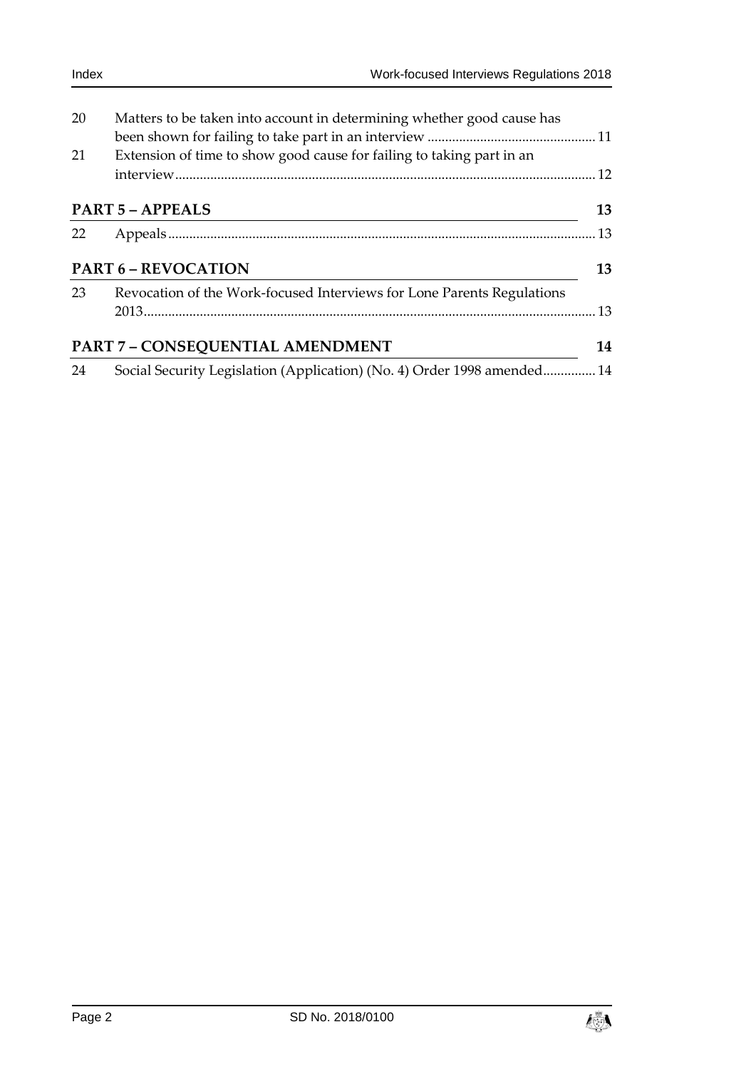| 20                         | Matters to be taken into account in determining whether good cause has  |    |
|----------------------------|-------------------------------------------------------------------------|----|
| 21                         | Extension of time to show good cause for failing to taking part in an   |    |
| <b>PART 5 - APPEALS</b>    |                                                                         | 13 |
| 22                         |                                                                         |    |
| <b>PART 6 - REVOCATION</b> |                                                                         | 13 |
| 23                         | Revocation of the Work-focused Interviews for Lone Parents Regulations  |    |
|                            | PART 7 - CONSEQUENTIAL AMENDMENT                                        | 14 |
| 24                         | Social Security Legislation (Application) (No. 4) Order 1998 amended 14 |    |

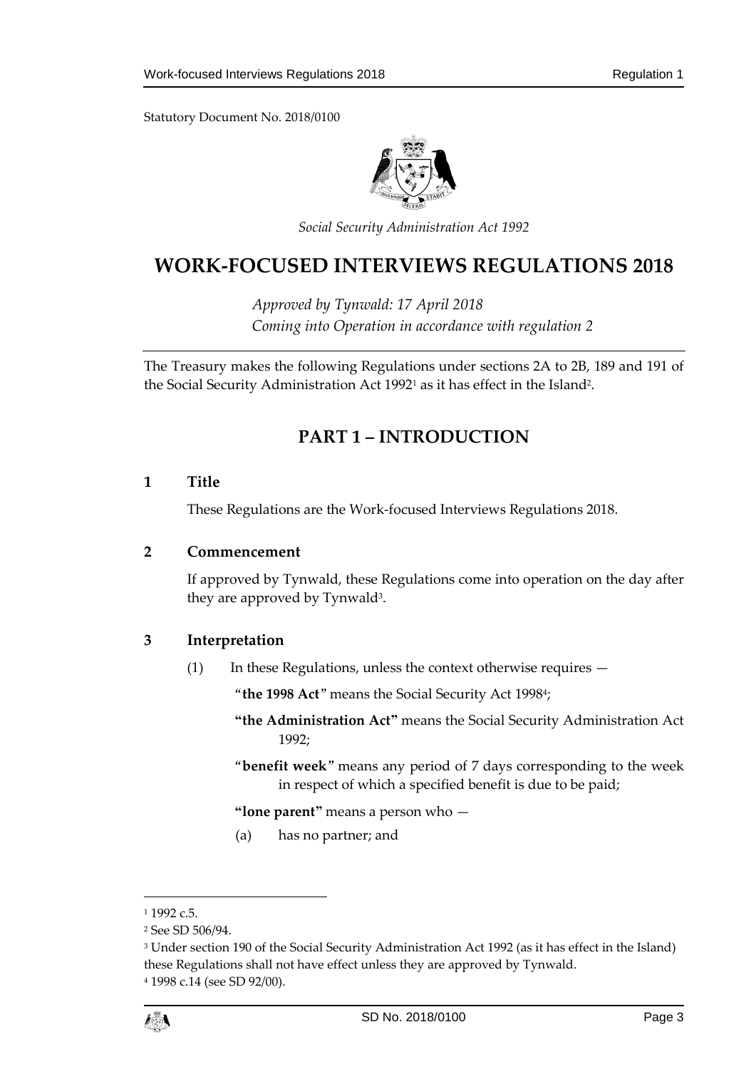

*Social Security Administration Act 1992*

# **WORK-FOCUSED INTERVIEWS REGULATIONS 2018**

*Approved by Tynwald: 17 April 2018 Coming into Operation in accordance with regulation 2*

<span id="page-2-0"></span>The Treasury makes the following Regulations under sections 2A to 2B, 189 and 191 of the Social Security Administration Act 1992<sup>1</sup> as it has effect in the Island<sup>2</sup>.

# **PART 1 – INTRODUCTION**

## <span id="page-2-1"></span>**1 Title**

These Regulations are the Work-focused Interviews Regulations 2018.

#### <span id="page-2-2"></span>**2 Commencement**

If approved by Tynwald, these Regulations come into operation on the day after they are approved by Tynwald<sup>3</sup>.

## <span id="page-2-3"></span>**3 Interpretation**

(1) In these Regulations, unless the context otherwise requires —

"**the 1998 Act**" means the Social Security Act 1998<sup>4</sup> ;

- **"the Administration Act"** means the Social Security Administration Act 1992;
- "**benefit week**" means any period of 7 days corresponding to the week in respect of which a specified benefit is due to be paid;

**"lone parent"** means a person who —

(a) has no partner; and

1

 $11992c5$ 

<sup>2</sup> See SD 506/94.

<sup>3</sup> Under section 190 of the Social Security Administration Act 1992 (as it has effect in the Island) these Regulations shall not have effect unless they are approved by Tynwald.

<sup>4</sup> 1998 c.14 (see SD 92/00).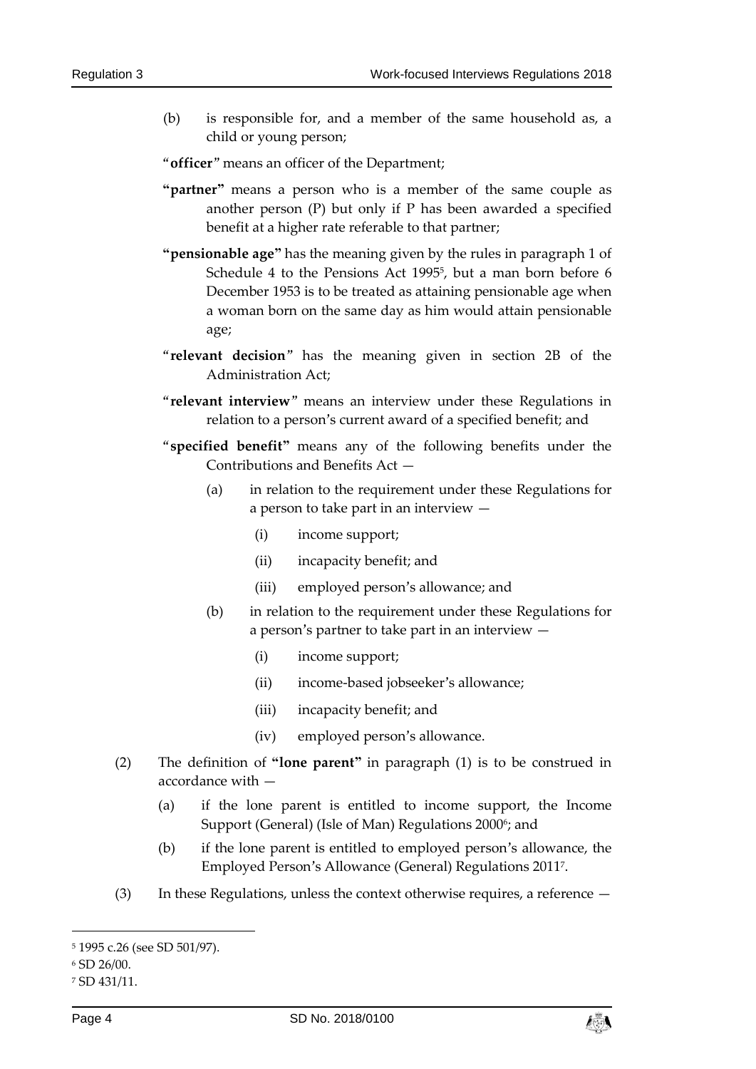(b) is responsible for, and a member of the same household as, a child or young person;

"**officer**" means an officer of the Department;

- **"partner"** means a person who is a member of the same couple as another person (P) but only if P has been awarded a specified benefit at a higher rate referable to that partner;
- **"pensionable age"** has the meaning given by the rules in paragraph 1 of Schedule 4 to the Pensions Act 1995<sup>5</sup>, but a man born before 6 December 1953 is to be treated as attaining pensionable age when a woman born on the same day as him would attain pensionable age;
- "**relevant decision**" has the meaning given in section 2B of the Administration Act;
- "**relevant interview**" means an interview under these Regulations in relation to a person's current award of a specified benefit; and
- "**specified benefit"** means any of the following benefits under the Contributions and Benefits Act —
	- (a) in relation to the requirement under these Regulations for a person to take part in an interview —
		- (i) income support;
		- (ii) incapacity benefit; and
		- (iii) employed person's allowance; and
	- (b) in relation to the requirement under these Regulations for a person's partner to take part in an interview —
		- (i) income support;
		- (ii) income-based jobseeker's allowance;
		- (iii) incapacity benefit; and
		- (iv) employed person's allowance.
- (2) The definition of **"lone parent"** in paragraph (1) is to be construed in accordance with —
	- (a) if the lone parent is entitled to income support, the Income Support (General) (Isle of Man) Regulations 20006; and
	- (b) if the lone parent is entitled to employed person's allowance, the Employed Person's Allowance (General) Regulations 2011<sup>7</sup> .
- (3) In these Regulations, unless the context otherwise requires, a reference —

-



<sup>5</sup> 1995 c.26 (see SD 501/97).

<sup>6</sup> SD 26/00.

<sup>7</sup> SD 431/11.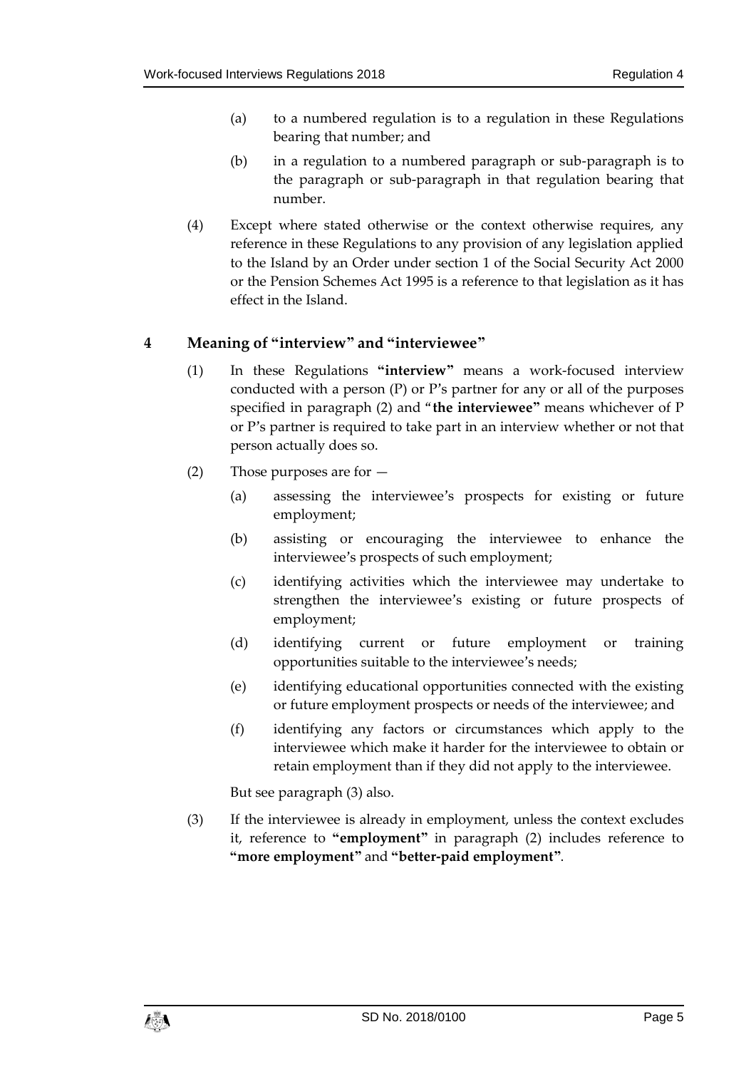- (a) to a numbered regulation is to a regulation in these Regulations bearing that number; and
- (b) in a regulation to a numbered paragraph or sub-paragraph is to the paragraph or sub-paragraph in that regulation bearing that number.
- (4) Except where stated otherwise or the context otherwise requires, any reference in these Regulations to any provision of any legislation applied to the Island by an Order under section 1 of the Social Security Act 2000 or the Pension Schemes Act 1995 is a reference to that legislation as it has effect in the Island.

## <span id="page-4-0"></span>**4 Meaning of "interview" and "interviewee"**

- (1) In these Regulations **"interview"** means a work-focused interview conducted with a person (P) or P's partner for any or all of the purposes specified in paragraph (2) and "**the interviewee"** means whichever of P or P's partner is required to take part in an interview whether or not that person actually does so.
- (2) Those purposes are for
	- (a) assessing the interviewee's prospects for existing or future employment;
	- (b) assisting or encouraging the interviewee to enhance the interviewee's prospects of such employment;
	- (c) identifying activities which the interviewee may undertake to strengthen the interviewee's existing or future prospects of employment;
	- (d) identifying current or future employment or training opportunities suitable to the interviewee's needs;
	- (e) identifying educational opportunities connected with the existing or future employment prospects or needs of the interviewee; and
	- (f) identifying any factors or circumstances which apply to the interviewee which make it harder for the interviewee to obtain or retain employment than if they did not apply to the interviewee.

But see paragraph (3) also.

(3) If the interviewee is already in employment, unless the context excludes it, reference to **"employment"** in paragraph (2) includes reference to **"more employment"** and **"better-paid employment"**.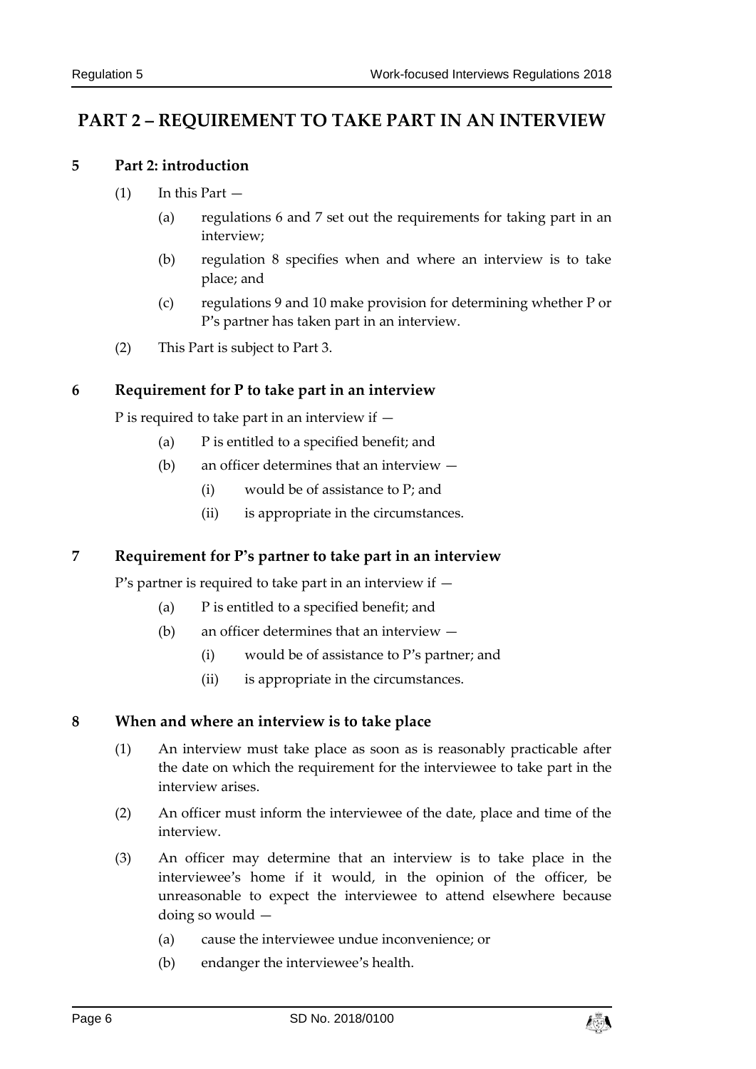# <span id="page-5-1"></span><span id="page-5-0"></span>**PART 2 – REQUIREMENT TO TAKE PART IN AN INTERVIEW**

#### **5 Part 2: introduction**

- $(1)$  In this Part  $-$ 
	- (a) regulations 6 and 7 set out the requirements for taking part in an interview;
	- (b) regulation 8 specifies when and where an interview is to take place; and
	- (c) regulations 9 and 10 make provision for determining whether P or P's partner has taken part in an interview.
- (2) This Part is subject to Part 3.

## <span id="page-5-2"></span>**6 Requirement for P to take part in an interview**

P is required to take part in an interview if  $-$ 

- (a) P is entitled to a specified benefit; and
- (b) an officer determines that an interview
	- (i) would be of assistance to P; and
	- (ii) is appropriate in the circumstances.

## <span id="page-5-3"></span>**7 Requirement for P's partner to take part in an interview**

P's partner is required to take part in an interview if —

- (a) P is entitled to a specified benefit; and
- (b) an officer determines that an interview
	- (i) would be of assistance to P's partner; and
	- (ii) is appropriate in the circumstances.

#### <span id="page-5-4"></span>**8 When and where an interview is to take place**

- (1) An interview must take place as soon as is reasonably practicable after the date on which the requirement for the interviewee to take part in the interview arises.
- (2) An officer must inform the interviewee of the date, place and time of the interview.
- (3) An officer may determine that an interview is to take place in the interviewee's home if it would, in the opinion of the officer, be unreasonable to expect the interviewee to attend elsewhere because doing so would —
	- (a) cause the interviewee undue inconvenience; or
	- (b) endanger the interviewee's health.

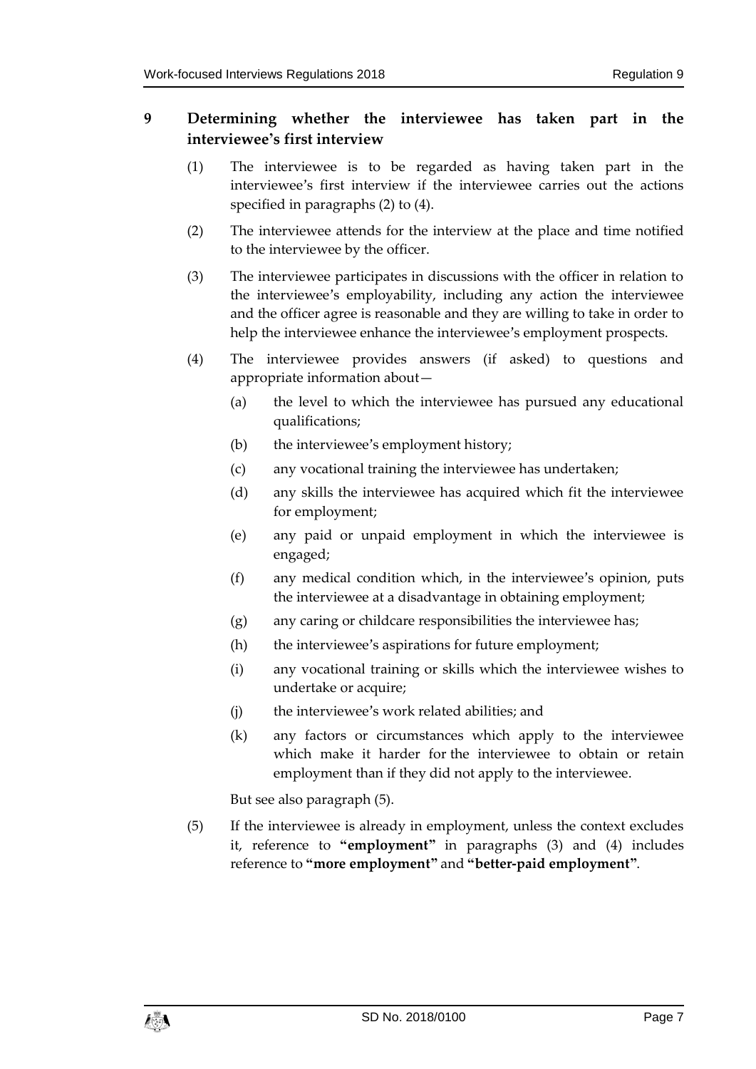## <span id="page-6-0"></span>**9 Determining whether the interviewee has taken part in the interviewee's first interview**

- (1) The interviewee is to be regarded as having taken part in the interviewee's first interview if the interviewee carries out the actions specified in paragraphs (2) to (4).
- (2) The interviewee attends for the interview at the place and time notified to the interviewee by the officer.
- (3) The interviewee participates in discussions with the officer in relation to the interviewee's employability, including any action the interviewee and the officer agree is reasonable and they are willing to take in order to help the interviewee enhance the interviewee's employment prospects.
- (4) The interviewee provides answers (if asked) to questions and appropriate information about—
	- (a) the level to which the interviewee has pursued any educational qualifications;
	- (b) the interviewee's employment history;
	- (c) any vocational training the interviewee has undertaken;
	- (d) any skills the interviewee has acquired which fit the interviewee for employment;
	- (e) any paid or unpaid employment in which the interviewee is engaged;
	- (f) any medical condition which, in the interviewee's opinion, puts the interviewee at a disadvantage in obtaining employment;
	- (g) any caring or childcare responsibilities the interviewee has;
	- (h) the interviewee's aspirations for future employment;
	- (i) any vocational training or skills which the interviewee wishes to undertake or acquire;
	- (j) the interviewee's work related abilities; and
	- (k) any factors or circumstances which apply to the interviewee which make it harder for the interviewee to obtain or retain employment than if they did not apply to the interviewee.

But see also paragraph (5).

(5) If the interviewee is already in employment, unless the context excludes it, reference to **"employment"** in paragraphs (3) and (4) includes reference to **"more employment"** and **"better-paid employment"**.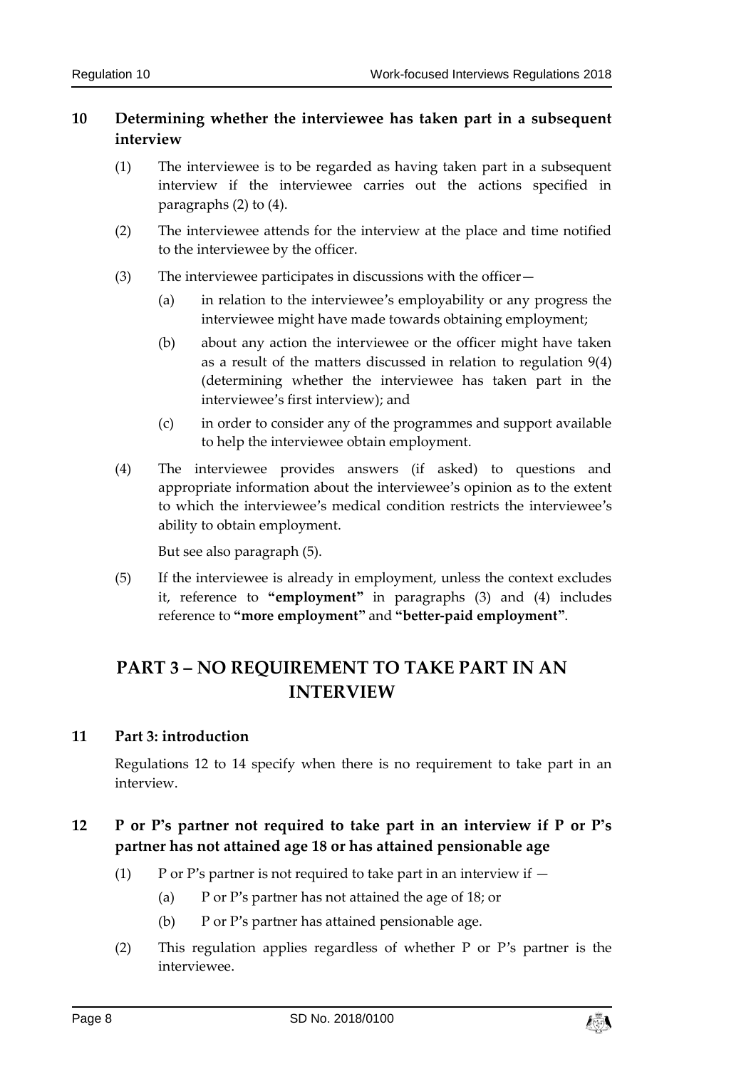## <span id="page-7-0"></span>**10 Determining whether the interviewee has taken part in a subsequent interview**

- (1) The interviewee is to be regarded as having taken part in a subsequent interview if the interviewee carries out the actions specified in paragraphs (2) to (4).
- (2) The interviewee attends for the interview at the place and time notified to the interviewee by the officer.
- (3) The interviewee participates in discussions with the officer—
	- (a) in relation to the interviewee's employability or any progress the interviewee might have made towards obtaining employment;
	- (b) about any action the interviewee or the officer might have taken as a result of the matters discussed in relation to regulation 9(4) (determining whether the interviewee has taken part in the interviewee's first interview); and
	- (c) in order to consider any of the programmes and support available to help the interviewee obtain employment.
- (4) The interviewee provides answers (if asked) to questions and appropriate information about the interviewee's opinion as to the extent to which the interviewee's medical condition restricts the interviewee's ability to obtain employment.

But see also paragraph (5).

(5) If the interviewee is already in employment, unless the context excludes it, reference to **"employment"** in paragraphs (3) and (4) includes reference to **"more employment"** and **"better-paid employment"**.

# <span id="page-7-1"></span>**PART 3 – NO REQUIREMENT TO TAKE PART IN AN INTERVIEW**

## <span id="page-7-2"></span>**11 Part 3: introduction**

Regulations 12 to 14 specify when there is no requirement to take part in an interview.

## <span id="page-7-3"></span>**12 P or P's partner not required to take part in an interview if P or P's partner has not attained age 18 or has attained pensionable age**

- (1) P or P's partner is not required to take part in an interview if  $-$ 
	- (a) P or P's partner has not attained the age of 18; or
	- (b) P or P's partner has attained pensionable age.
- (2) This regulation applies regardless of whether P or P's partner is the interviewee.

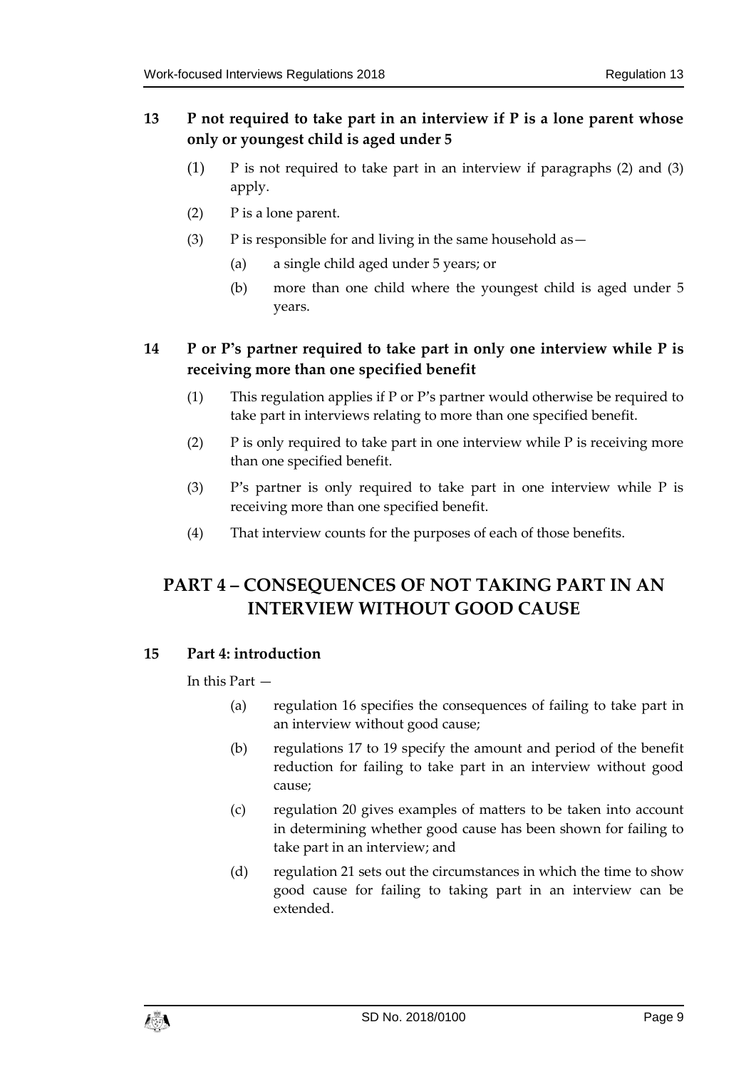## <span id="page-8-0"></span>**13 P not required to take part in an interview if P is a lone parent whose only or youngest child is aged under 5**

- (1) P is not required to take part in an interview if paragraphs (2) and (3) apply.
- (2) P is a lone parent.
- (3) P is responsible for and living in the same household as  $-$ 
	- (a) a single child aged under 5 years; or
	- (b) more than one child where the youngest child is aged under 5 years.

## <span id="page-8-1"></span>**14 P or P's partner required to take part in only one interview while P is receiving more than one specified benefit**

- (1) This regulation applies if P or P's partner would otherwise be required to take part in interviews relating to more than one specified benefit.
- (2) P is only required to take part in one interview while P is receiving more than one specified benefit.
- (3) P's partner is only required to take part in one interview while P is receiving more than one specified benefit.
- (4) That interview counts for the purposes of each of those benefits.

# <span id="page-8-2"></span>**PART 4 – CONSEQUENCES OF NOT TAKING PART IN AN INTERVIEW WITHOUT GOOD CAUSE**

## <span id="page-8-3"></span>**15 Part 4: introduction**

In this Part —

- (a) regulation 16 specifies the consequences of failing to take part in an interview without good cause;
- (b) regulations 17 to 19 specify the amount and period of the benefit reduction for failing to take part in an interview without good cause;
- (c) regulation 20 gives examples of matters to be taken into account in determining whether good cause has been shown for failing to take part in an interview; and
- (d) regulation 21 sets out the circumstances in which the time to show good cause for failing to taking part in an interview can be extended.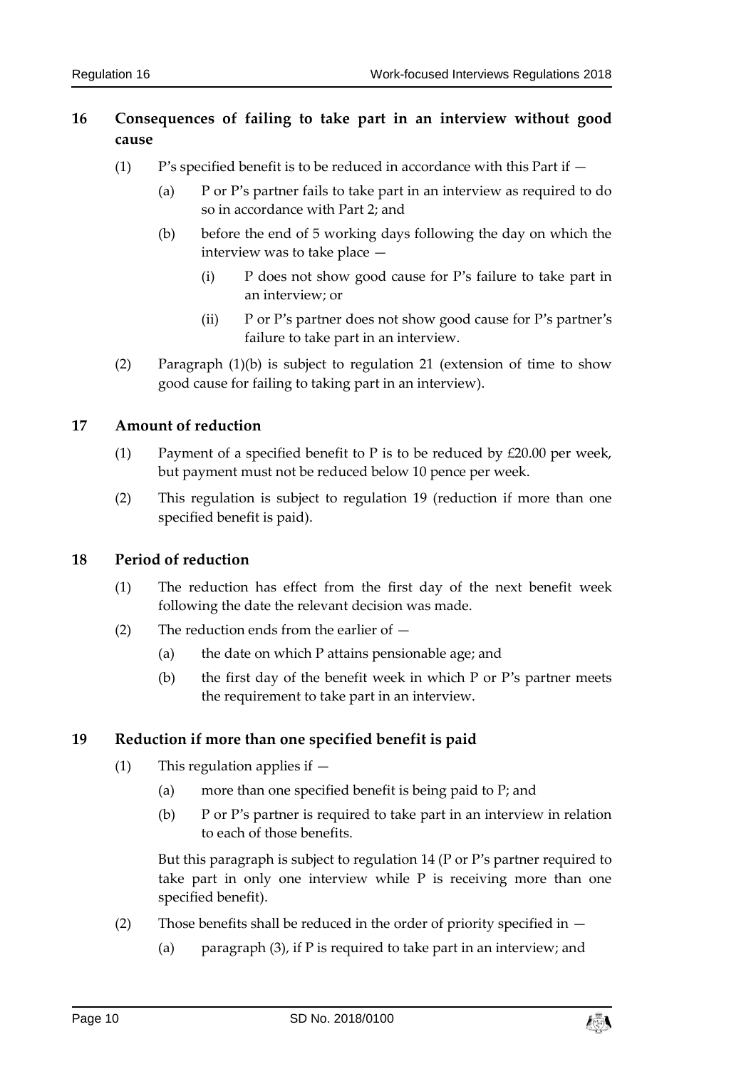## <span id="page-9-0"></span>**16 Consequences of failing to take part in an interview without good cause**

- $(1)$  P's specified benefit is to be reduced in accordance with this Part if  $-$ 
	- (a) P or P's partner fails to take part in an interview as required to do so in accordance with Part 2; and
	- (b) before the end of 5 working days following the day on which the interview was to take place —
		- (i) P does not show good cause for P's failure to take part in an interview; or
		- (ii) P or P's partner does not show good cause for P's partner's failure to take part in an interview.
- (2) Paragraph (1)(b) is subject to regulation 21 (extension of time to show good cause for failing to taking part in an interview).

#### <span id="page-9-1"></span>**17 Amount of reduction**

- (1) Payment of a specified benefit to P is to be reduced by  $\text{\pounds}20.00$  per week, but payment must not be reduced below 10 pence per week.
- (2) This regulation is subject to regulation 19 (reduction if more than one specified benefit is paid).

## <span id="page-9-2"></span>**18 Period of reduction**

- (1) The reduction has effect from the first day of the next benefit week following the date the relevant decision was made.
- (2) The reduction ends from the earlier of
	- (a) the date on which P attains pensionable age; and
	- (b) the first day of the benefit week in which  $P$  or  $P'$ s partner meets the requirement to take part in an interview.

## <span id="page-9-3"></span>**19 Reduction if more than one specified benefit is paid**

- (1) This regulation applies if
	- (a) more than one specified benefit is being paid to P; and
	- (b) P or P's partner is required to take part in an interview in relation to each of those benefits.

But this paragraph is subject to regulation 14 (P or P's partner required to take part in only one interview while P is receiving more than one specified benefit).

- (2) Those benefits shall be reduced in the order of priority specified in  $-$ 
	- (a) paragraph (3), if P is required to take part in an interview; and

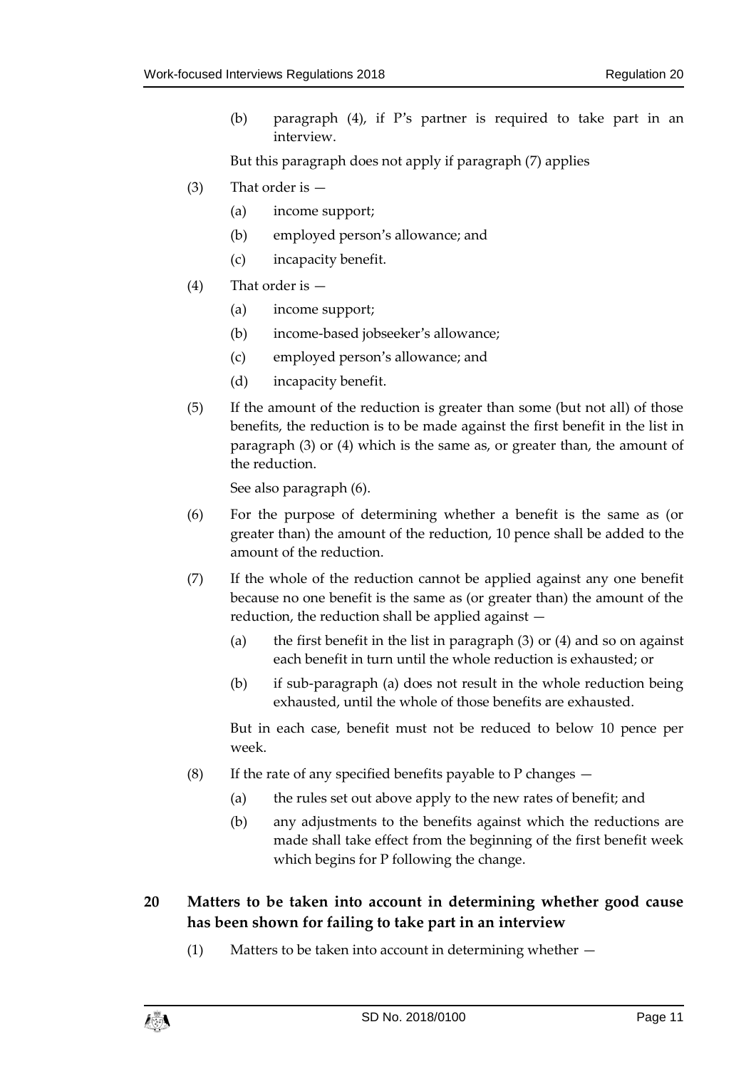(b) paragraph (4), if P's partner is required to take part in an interview.

But this paragraph does not apply if paragraph (7) applies

- (3) That order is
	- (a) income support;
	- (b) employed person's allowance; and
	- (c) incapacity benefit.
- (4) That order is
	- (a) income support;
	- (b) income-based jobseeker's allowance;
	- (c) employed person's allowance; and
	- (d) incapacity benefit.
- (5) If the amount of the reduction is greater than some (but not all) of those benefits, the reduction is to be made against the first benefit in the list in paragraph (3) or (4) which is the same as, or greater than, the amount of the reduction.

See also paragraph (6).

- (6) For the purpose of determining whether a benefit is the same as (or greater than) the amount of the reduction, 10 pence shall be added to the amount of the reduction.
- (7) If the whole of the reduction cannot be applied against any one benefit because no one benefit is the same as (or greater than) the amount of the reduction, the reduction shall be applied against —
	- (a) the first benefit in the list in paragraph (3) or (4) and so on against each benefit in turn until the whole reduction is exhausted; or
	- (b) if sub-paragraph (a) does not result in the whole reduction being exhausted, until the whole of those benefits are exhausted.

But in each case, benefit must not be reduced to below 10 pence per week.

- (8) If the rate of any specified benefits payable to P changes  $-$ 
	- (a) the rules set out above apply to the new rates of benefit; and
	- (b) any adjustments to the benefits against which the reductions are made shall take effect from the beginning of the first benefit week which begins for P following the change.

## <span id="page-10-0"></span>**20 Matters to be taken into account in determining whether good cause has been shown for failing to take part in an interview**

(1) Matters to be taken into account in determining whether —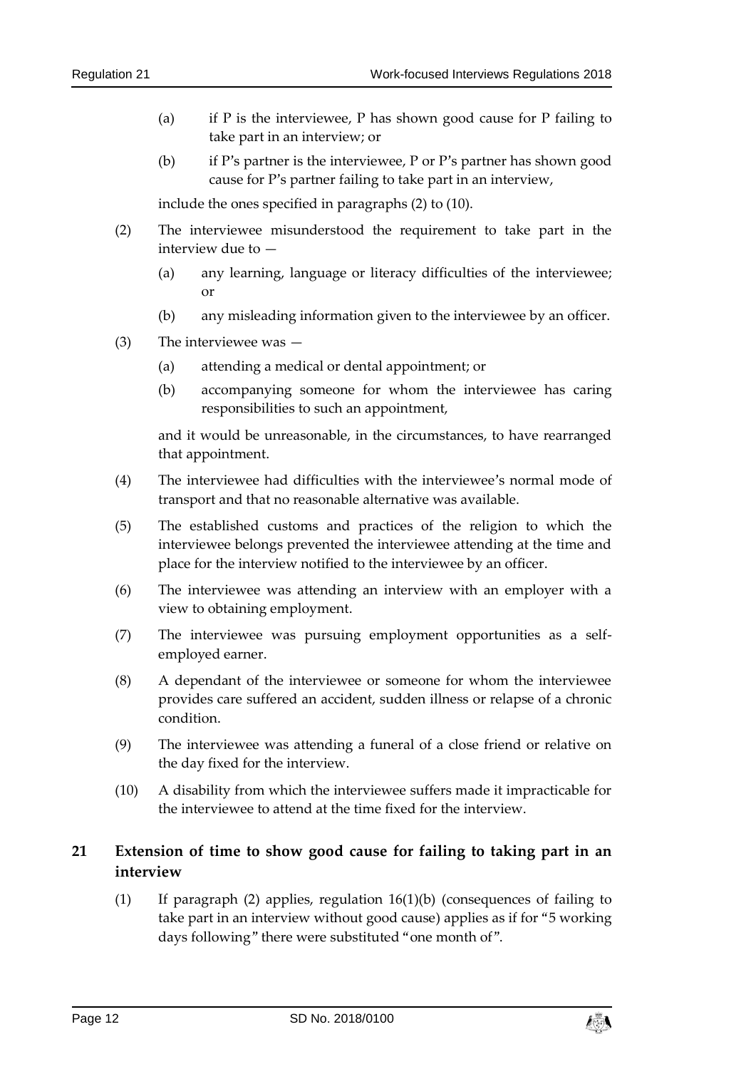- (a) if P is the interviewee, P has shown good cause for P failing to take part in an interview; or
- (b) if P's partner is the interviewee, P or P's partner has shown good cause for P's partner failing to take part in an interview,

include the ones specified in paragraphs (2) to (10).

- (2) The interviewee misunderstood the requirement to take part in the interview due to —
	- (a) any learning, language or literacy difficulties of the interviewee; or
	- (b) any misleading information given to the interviewee by an officer.
- (3) The interviewee was
	- (a) attending a medical or dental appointment; or
	- (b) accompanying someone for whom the interviewee has caring responsibilities to such an appointment,

and it would be unreasonable, in the circumstances, to have rearranged that appointment.

- (4) The interviewee had difficulties with the interviewee's normal mode of transport and that no reasonable alternative was available.
- (5) The established customs and practices of the religion to which the interviewee belongs prevented the interviewee attending at the time and place for the interview notified to the interviewee by an officer.
- (6) The interviewee was attending an interview with an employer with a view to obtaining employment.
- (7) The interviewee was pursuing employment opportunities as a selfemployed earner.
- (8) A dependant of the interviewee or someone for whom the interviewee provides care suffered an accident, sudden illness or relapse of a chronic condition.
- (9) The interviewee was attending a funeral of a close friend or relative on the day fixed for the interview.
- (10) A disability from which the interviewee suffers made it impracticable for the interviewee to attend at the time fixed for the interview.

## <span id="page-11-0"></span>**21 Extension of time to show good cause for failing to taking part in an interview**

(1) If paragraph (2) applies, regulation 16(1)(b) (consequences of failing to take part in an interview without good cause) applies as if for "5 working days following" there were substituted "one month of".

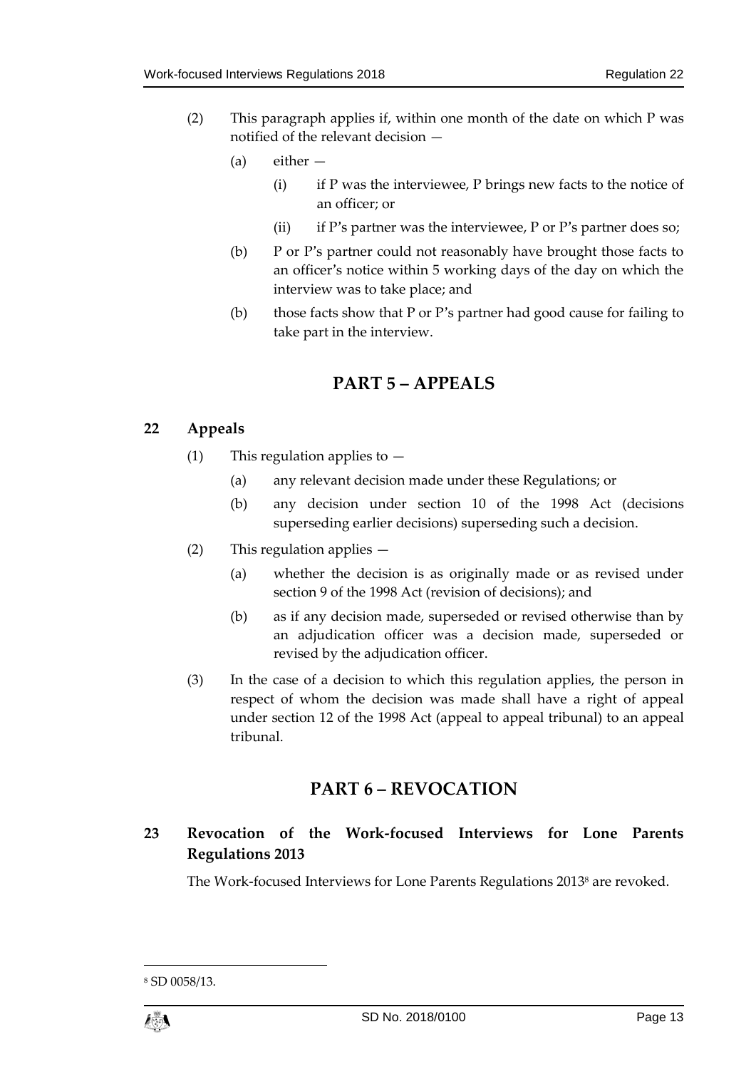- (2) This paragraph applies if, within one month of the date on which P was notified of the relevant decision —
	- (a) either
		- $(i)$  if P was the interviewee, P brings new facts to the notice of an officer; or
		- (ii) if P's partner was the interviewee, P or P's partner does so;
	- (b) P or P's partner could not reasonably have brought those facts to an officer's notice within 5 working days of the day on which the interview was to take place; and
	- (b) those facts show that P or P's partner had good cause for failing to take part in the interview.

# **PART 5 – APPEALS**

## <span id="page-12-1"></span><span id="page-12-0"></span>**22 Appeals**

- (1) This regulation applies to  $-$ 
	- (a) any relevant decision made under these Regulations; or
	- (b) any decision under section 10 of the 1998 Act (decisions superseding earlier decisions) superseding such a decision.
- (2) This regulation applies
	- (a) whether the decision is as originally made or as revised under section 9 of the [1998 Act](http://www.tynwald.org.im/links/tls/socsec/ss/SocialSecurityAct1998.pdf) (revision of decisions); and
	- (b) as if any decision made, superseded or revised otherwise than by an adjudication officer was a decision made, superseded or revised by the adjudication officer.
- (3) In the case of a decision to which this regulation applies, the person in respect of whom the decision was made shall have a right of appeal under section 12 of the [1998 Act](http://www.tynwald.org.im/links/tls/socsec/ss/SocialSecurityAct1998.pdf) (appeal to appeal tribunal) to an appeal tribunal.

# **PART 6 – REVOCATION**

## <span id="page-12-3"></span><span id="page-12-2"></span>**23 Revocation of the Work-focused Interviews for Lone Parents Regulations 2013**

The Work-focused Interviews for Lone Parents Regulations 2013<sup>8</sup> are revoked.

1

<sup>8</sup> SD 0058/13.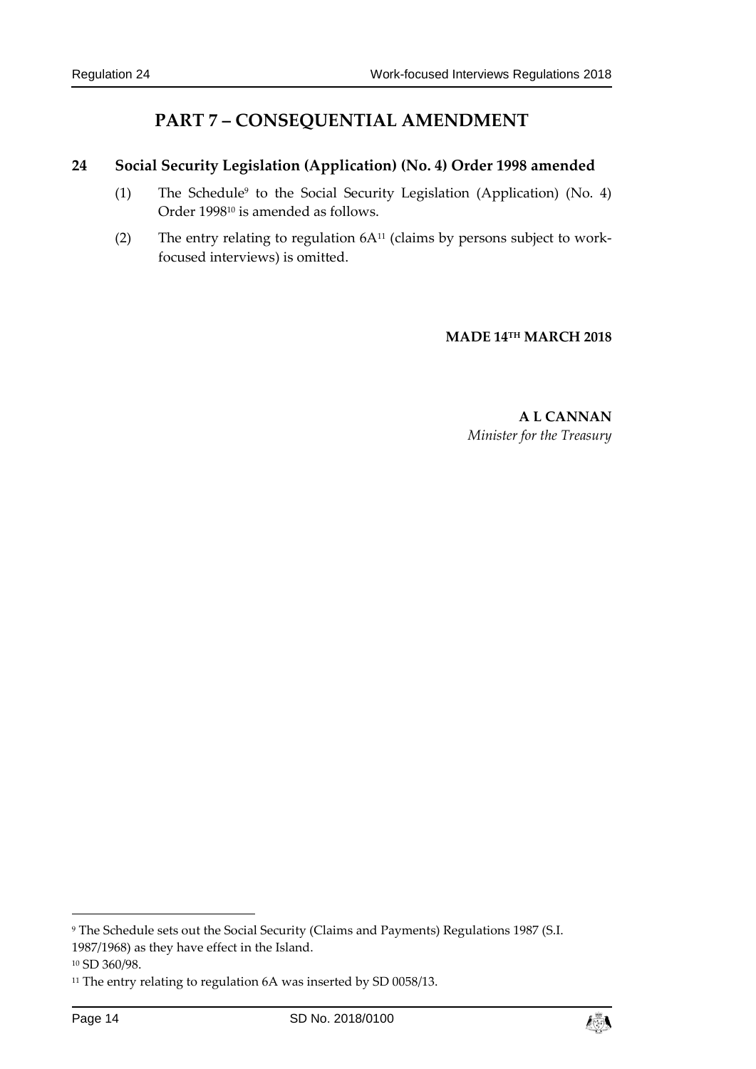# **PART 7 – CONSEQUENTIAL AMENDMENT**

## <span id="page-13-1"></span><span id="page-13-0"></span>**24 Social Security Legislation (Application) (No. 4) Order 1998 amended**

- (1) The Schedule<sup>9</sup> to the Social Security Legislation (Application) (No. 4) Order 1998<sup>10</sup> is amended as follows.
- (2) The entry relating to regulation  $6A^{11}$  (claims by persons subject to workfocused interviews) is omitted.

**MADE 14TH MARCH 2018**

**A L CANNAN** *Minister for the Treasury*

1



<sup>9</sup> The Schedule sets out the Social Security (Claims and Payments) Regulations 1987 (S.I. 1987/1968) as they have effect in the Island.

<sup>10</sup> SD 360/98.

<sup>&</sup>lt;sup>11</sup> The entry relating to regulation 6A was inserted by SD 0058/13.